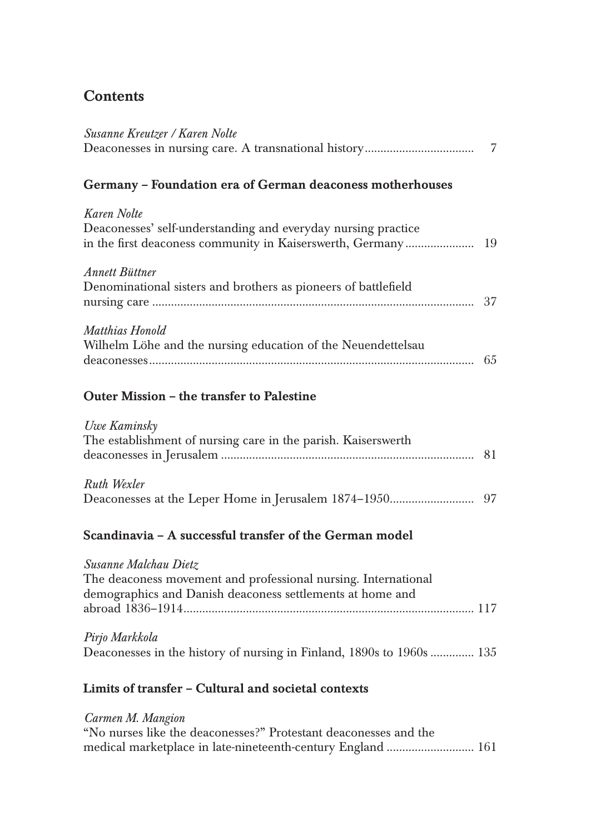## **Contents**

| Susanne Kreutzer / Karen Nolte                                                                                                                       | 7  |
|------------------------------------------------------------------------------------------------------------------------------------------------------|----|
| Germany - Foundation era of German deaconess motherhouses                                                                                            |    |
| Karen Nolte<br>Deaconesses' self-understanding and everyday nursing practice<br>in the first deaconess community in Kaiserswerth, Germany            | 19 |
| <b>Annett Büttner</b><br>Denominational sisters and brothers as pioneers of battlefield                                                              |    |
| Matthias Honold<br>Wilhelm Löhe and the nursing education of the Neuendettelsau                                                                      |    |
| Outer Mission - the transfer to Palestine                                                                                                            |    |
| Uwe Kaminsky<br>The establishment of nursing care in the parish. Kaiserswerth                                                                        | 81 |
| Ruth Wexler                                                                                                                                          |    |
| Scandinavia - A successful transfer of the German model                                                                                              |    |
| Susanne Malchau Dietz<br>The deaconess movement and professional nursing. International<br>demographics and Danish deaconess settlements at home and |    |
| Pirjo Markkola<br>Deaconesses in the history of nursing in Finland, 1890s to 1960s  135                                                              |    |
| Limits of transfer - Cultural and societal contexts                                                                                                  |    |
| Carmen M. Mangion<br>"No nurses like the deaconesses?" Protestant deaconesses and the                                                                |    |

medical marketplace in late-nineteenth-century England ............................ 161